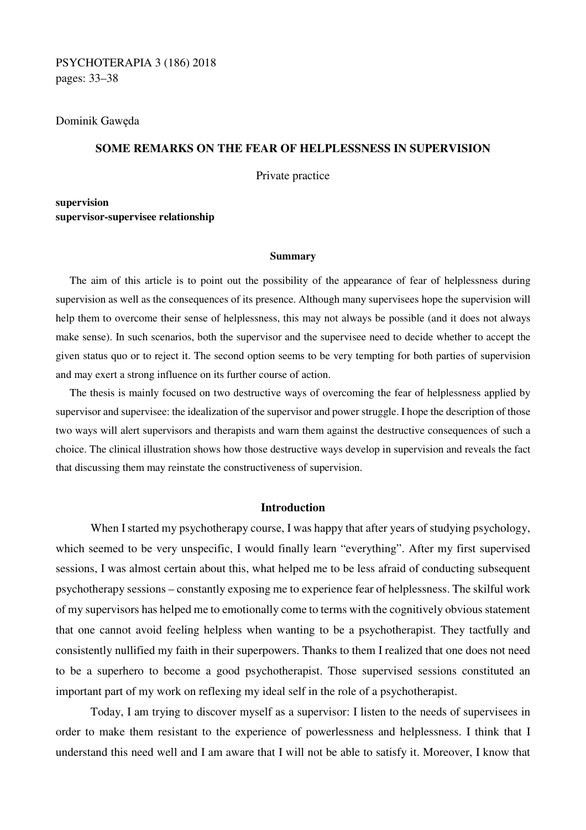# PSYCHOTERAPIA 3 (186) 2018 pages: 33–38

#### Dominik Gawęda

# **SOME REMARKS ON THE FEAR OF HELPLESSNESS IN SUPERVISION**

Private practice

**supervision supervisor-supervisee relationship** 

#### **Summary**

The aim of this article is to point out the possibility of the appearance of fear of helplessness during supervision as well as the consequences of its presence. Although many supervisees hope the supervision will help them to overcome their sense of helplessness, this may not always be possible (and it does not always make sense). In such scenarios, both the supervisor and the supervisee need to decide whether to accept the given status quo or to reject it. The second option seems to be very tempting for both parties of supervision and may exert a strong influence on its further course of action.

The thesis is mainly focused on two destructive ways of overcoming the fear of helplessness applied by supervisor and supervisee: the idealization of the supervisor and power struggle. I hope the description of those two ways will alert supervisors and therapists and warn them against the destructive consequences of such a choice. The clinical illustration shows how those destructive ways develop in supervision and reveals the fact that discussing them may reinstate the constructiveness of supervision.

### **Introduction**

When I started my psychotherapy course, I was happy that after years of studying psychology, which seemed to be very unspecific, I would finally learn "everything". After my first supervised sessions, I was almost certain about this, what helped me to be less afraid of conducting subsequent psychotherapy sessions – constantly exposing me to experience fear of helplessness. The skilful work of my supervisors has helped me to emotionally come to terms with the cognitively obvious statement that one cannot avoid feeling helpless when wanting to be a psychotherapist. They tactfully and consistently nullified my faith in their superpowers. Thanks to them I realized that one does not need to be a superhero to become a good psychotherapist. Those supervised sessions constituted an important part of my work on reflexing my ideal self in the role of a psychotherapist.

 Today, I am trying to discover myself as a supervisor: I listen to the needs of supervisees in order to make them resistant to the experience of powerlessness and helplessness. I think that I understand this need well and I am aware that I will not be able to satisfy it. Moreover, I know that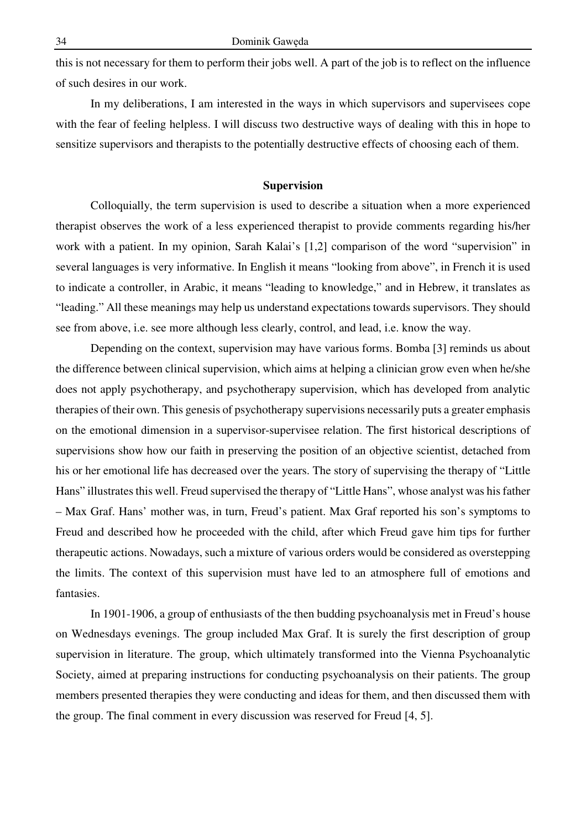this is not necessary for them to perform their jobs well. A part of the job is to reflect on the influence of such desires in our work.

 In my deliberations, I am interested in the ways in which supervisors and supervisees cope with the fear of feeling helpless. I will discuss two destructive ways of dealing with this in hope to sensitize supervisors and therapists to the potentially destructive effects of choosing each of them.

#### **Supervision**

 Colloquially, the term supervision is used to describe a situation when a more experienced therapist observes the work of a less experienced therapist to provide comments regarding his/her work with a patient. In my opinion, Sarah Kalai's [1,2] comparison of the word "supervision" in several languages is very informative. In English it means "looking from above", in French it is used to indicate a controller, in Arabic, it means "leading to knowledge," and in Hebrew, it translates as "leading." All these meanings may help us understand expectations towards supervisors. They should see from above, i.e. see more although less clearly, control, and lead, i.e. know the way.

 Depending on the context, supervision may have various forms. Bomba [3] reminds us about the difference between clinical supervision, which aims at helping a clinician grow even when he/she does not apply psychotherapy, and psychotherapy supervision, which has developed from analytic therapies of their own. This genesis of psychotherapy supervisions necessarily puts a greater emphasis on the emotional dimension in a supervisor-supervisee relation. The first historical descriptions of supervisions show how our faith in preserving the position of an objective scientist, detached from his or her emotional life has decreased over the years. The story of supervising the therapy of "Little Hans" illustrates this well. Freud supervised the therapy of "Little Hans", whose analyst was his father – Max Graf. Hans' mother was, in turn, Freud's patient. Max Graf reported his son's symptoms to Freud and described how he proceeded with the child, after which Freud gave him tips for further therapeutic actions. Nowadays, such a mixture of various orders would be considered as overstepping the limits. The context of this supervision must have led to an atmosphere full of emotions and fantasies.

 In 1901-1906, a group of enthusiasts of the then budding psychoanalysis met in Freud's house on Wednesdays evenings. The group included Max Graf. It is surely the first description of group supervision in literature. The group, which ultimately transformed into the Vienna Psychoanalytic Society, aimed at preparing instructions for conducting psychoanalysis on their patients. The group members presented therapies they were conducting and ideas for them, and then discussed them with the group. The final comment in every discussion was reserved for Freud [4, 5].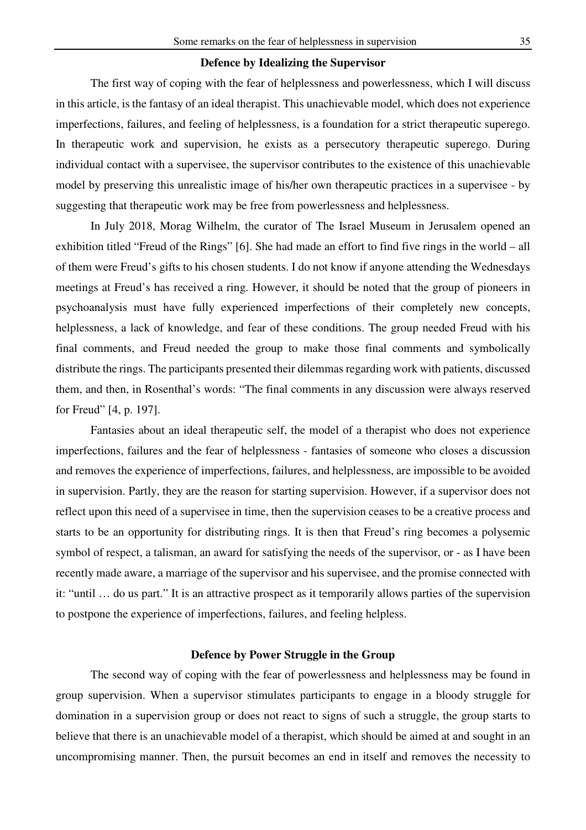### **Defence by Idealizing the Supervisor**

 The first way of coping with the fear of helplessness and powerlessness, which I will discuss in this article, is the fantasy of an ideal therapist. This unachievable model, which does not experience imperfections, failures, and feeling of helplessness, is a foundation for a strict therapeutic superego. In therapeutic work and supervision, he exists as a persecutory therapeutic superego. During individual contact with a supervisee, the supervisor contributes to the existence of this unachievable model by preserving this unrealistic image of his/her own therapeutic practices in a supervisee - by suggesting that therapeutic work may be free from powerlessness and helplessness.

 In July 2018, Morag Wilhelm, the curator of The Israel Museum in Jerusalem opened an exhibition titled "Freud of the Rings" [6]. She had made an effort to find five rings in the world – all of them were Freud's gifts to his chosen students. I do not know if anyone attending the Wednesdays meetings at Freud's has received a ring. However, it should be noted that the group of pioneers in psychoanalysis must have fully experienced imperfections of their completely new concepts, helplessness, a lack of knowledge, and fear of these conditions. The group needed Freud with his final comments, and Freud needed the group to make those final comments and symbolically distribute the rings. The participants presented their dilemmas regarding work with patients, discussed them, and then, in Rosenthal's words: "The final comments in any discussion were always reserved for Freud" [4, p. 197].

 Fantasies about an ideal therapeutic self, the model of a therapist who does not experience imperfections, failures and the fear of helplessness - fantasies of someone who closes a discussion and removes the experience of imperfections, failures, and helplessness, are impossible to be avoided in supervision. Partly, they are the reason for starting supervision. However, if a supervisor does not reflect upon this need of a supervisee in time, then the supervision ceases to be a creative process and starts to be an opportunity for distributing rings. It is then that Freud's ring becomes a polysemic symbol of respect, a talisman, an award for satisfying the needs of the supervisor, or - as I have been recently made aware, a marriage of the supervisor and his supervisee, and the promise connected with it: "until … do us part." It is an attractive prospect as it temporarily allows parties of the supervision to postpone the experience of imperfections, failures, and feeling helpless.

## **Defence by Power Struggle in the Group**

The second way of coping with the fear of powerlessness and helplessness may be found in group supervision. When a supervisor stimulates participants to engage in a bloody struggle for domination in a supervision group or does not react to signs of such a struggle, the group starts to believe that there is an unachievable model of a therapist, which should be aimed at and sought in an uncompromising manner. Then, the pursuit becomes an end in itself and removes the necessity to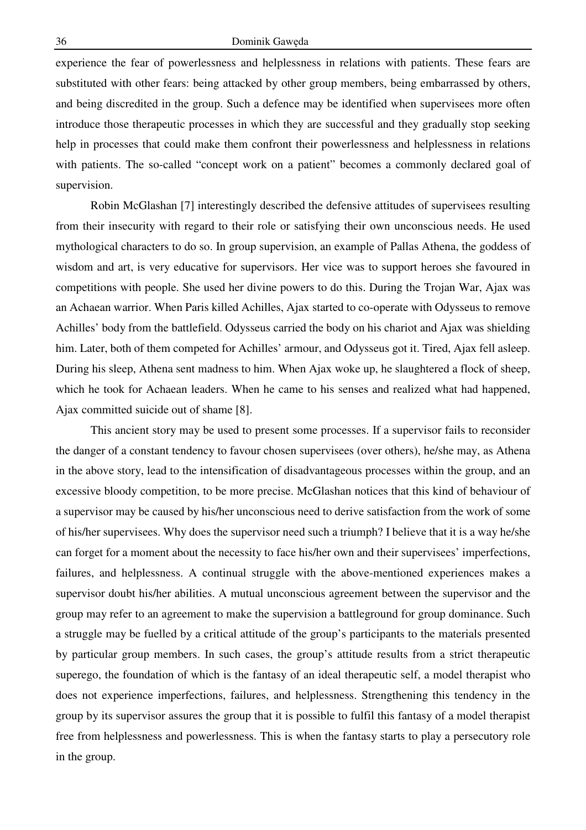experience the fear of powerlessness and helplessness in relations with patients. These fears are substituted with other fears: being attacked by other group members, being embarrassed by others, and being discredited in the group. Such a defence may be identified when supervisees more often introduce those therapeutic processes in which they are successful and they gradually stop seeking help in processes that could make them confront their powerlessness and helplessness in relations with patients. The so-called "concept work on a patient" becomes a commonly declared goal of supervision.

Robin McGlashan [7] interestingly described the defensive attitudes of supervisees resulting from their insecurity with regard to their role or satisfying their own unconscious needs. He used mythological characters to do so. In group supervision, an example of Pallas Athena, the goddess of wisdom and art, is very educative for supervisors. Her vice was to support heroes she favoured in competitions with people. She used her divine powers to do this. During the Trojan War, Ajax was an Achaean warrior. When Paris killed Achilles, Ajax started to co-operate with Odysseus to remove Achilles' body from the battlefield. Odysseus carried the body on his chariot and Ajax was shielding him. Later, both of them competed for Achilles' armour, and Odysseus got it. Tired, Ajax fell asleep. During his sleep, Athena sent madness to him. When Ajax woke up, he slaughtered a flock of sheep, which he took for Achaean leaders. When he came to his senses and realized what had happened, Ajax committed suicide out of shame [8].

This ancient story may be used to present some processes. If a supervisor fails to reconsider the danger of a constant tendency to favour chosen supervisees (over others), he/she may, as Athena in the above story, lead to the intensification of disadvantageous processes within the group, and an excessive bloody competition, to be more precise. McGlashan notices that this kind of behaviour of a supervisor may be caused by his/her unconscious need to derive satisfaction from the work of some of his/her supervisees. Why does the supervisor need such a triumph? I believe that it is a way he/she can forget for a moment about the necessity to face his/her own and their supervisees' imperfections, failures, and helplessness. A continual struggle with the above-mentioned experiences makes a supervisor doubt his/her abilities. A mutual unconscious agreement between the supervisor and the group may refer to an agreement to make the supervision a battleground for group dominance. Such a struggle may be fuelled by a critical attitude of the group's participants to the materials presented by particular group members. In such cases, the group's attitude results from a strict therapeutic superego, the foundation of which is the fantasy of an ideal therapeutic self, a model therapist who does not experience imperfections, failures, and helplessness. Strengthening this tendency in the group by its supervisor assures the group that it is possible to fulfil this fantasy of a model therapist free from helplessness and powerlessness. This is when the fantasy starts to play a persecutory role in the group.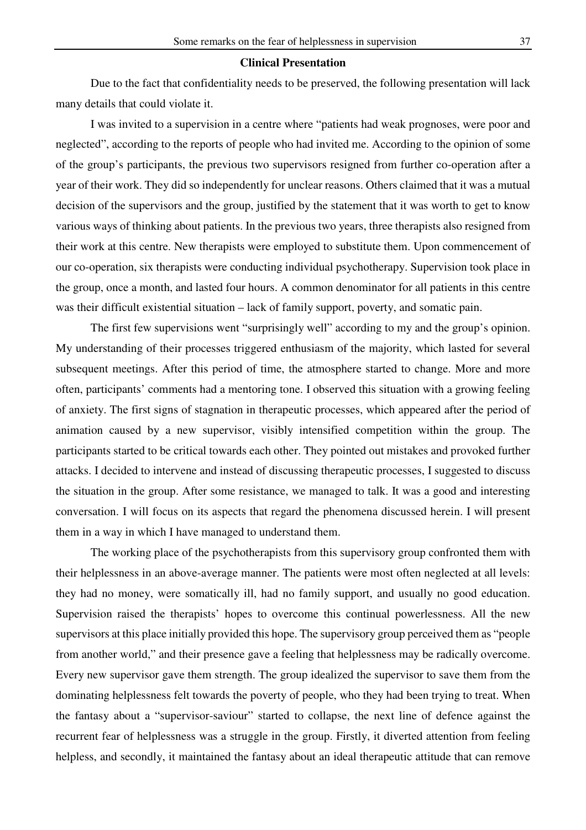### **Clinical Presentation**

 Due to the fact that confidentiality needs to be preserved, the following presentation will lack many details that could violate it.

 I was invited to a supervision in a centre where "patients had weak prognoses, were poor and neglected", according to the reports of people who had invited me. According to the opinion of some of the group's participants, the previous two supervisors resigned from further co-operation after a year of their work. They did so independently for unclear reasons. Others claimed that it was a mutual decision of the supervisors and the group, justified by the statement that it was worth to get to know various ways of thinking about patients. In the previous two years, three therapists also resigned from their work at this centre. New therapists were employed to substitute them. Upon commencement of our co-operation, six therapists were conducting individual psychotherapy. Supervision took place in the group, once a month, and lasted four hours. A common denominator for all patients in this centre was their difficult existential situation – lack of family support, poverty, and somatic pain.

 The first few supervisions went "surprisingly well" according to my and the group's opinion. My understanding of their processes triggered enthusiasm of the majority, which lasted for several subsequent meetings. After this period of time, the atmosphere started to change. More and more often, participants' comments had a mentoring tone. I observed this situation with a growing feeling of anxiety. The first signs of stagnation in therapeutic processes, which appeared after the period of animation caused by a new supervisor, visibly intensified competition within the group. The participants started to be critical towards each other. They pointed out mistakes and provoked further attacks. I decided to intervene and instead of discussing therapeutic processes, I suggested to discuss the situation in the group. After some resistance, we managed to talk. It was a good and interesting conversation. I will focus on its aspects that regard the phenomena discussed herein. I will present them in a way in which I have managed to understand them.

 The working place of the psychotherapists from this supervisory group confronted them with their helplessness in an above-average manner. The patients were most often neglected at all levels: they had no money, were somatically ill, had no family support, and usually no good education. Supervision raised the therapists' hopes to overcome this continual powerlessness. All the new supervisors at this place initially provided this hope. The supervisory group perceived them as "people from another world," and their presence gave a feeling that helplessness may be radically overcome. Every new supervisor gave them strength. The group idealized the supervisor to save them from the dominating helplessness felt towards the poverty of people, who they had been trying to treat. When the fantasy about a "supervisor-saviour" started to collapse, the next line of defence against the recurrent fear of helplessness was a struggle in the group. Firstly, it diverted attention from feeling helpless, and secondly, it maintained the fantasy about an ideal therapeutic attitude that can remove